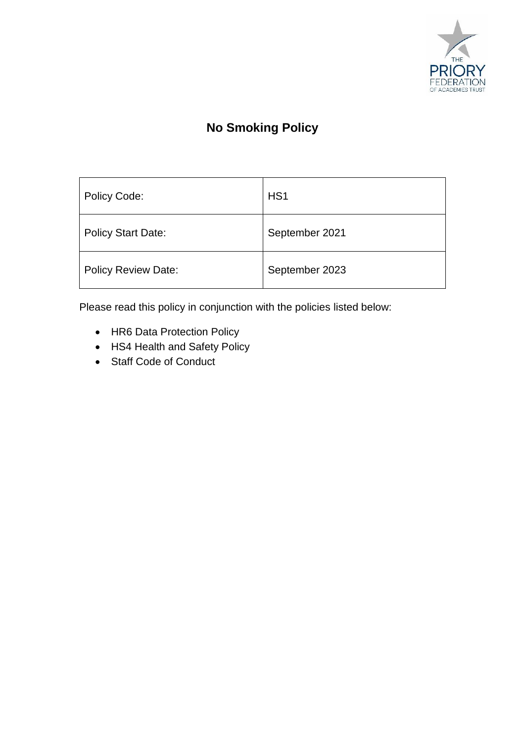

# **No Smoking Policy**

| Policy Code:               | H <sub>S</sub> 1 |
|----------------------------|------------------|
| <b>Policy Start Date:</b>  | September 2021   |
| <b>Policy Review Date:</b> | September 2023   |

Please read this policy in conjunction with the policies listed below:

- HR6 Data Protection Policy
- HS4 Health and Safety Policy
- Staff Code of Conduct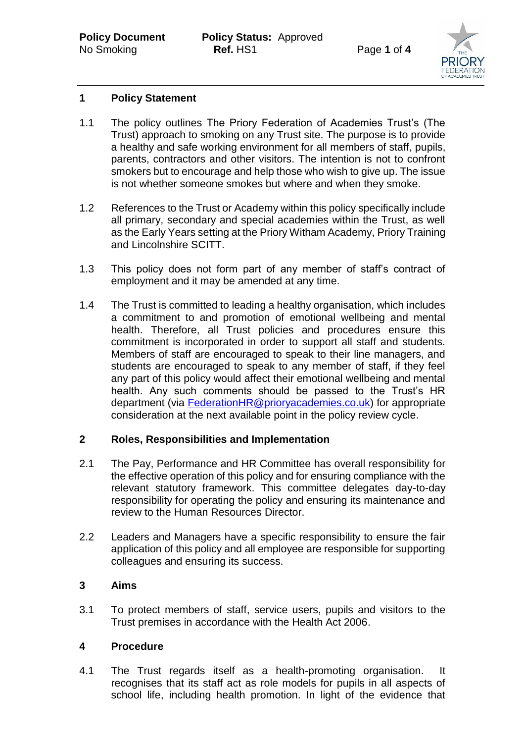

# **1 Policy Statement**

- 1.1 The policy outlines The Priory Federation of Academies Trust's (The Trust) approach to smoking on any Trust site. The purpose is to provide a healthy and safe working environment for all members of staff, pupils, parents, contractors and other visitors. The intention is not to confront smokers but to encourage and help those who wish to give up. The issue is not whether someone smokes but where and when they smoke.
- 1.2 References to the Trust or Academy within this policy specifically include all primary, secondary and special academies within the Trust, as well as the Early Years setting at the Priory Witham Academy, Priory Training and Lincolnshire SCITT.
- 1.3 This policy does not form part of any member of staff's contract of employment and it may be amended at any time.
- 1.4 The Trust is committed to leading a healthy organisation, which includes a commitment to and promotion of emotional wellbeing and mental health. Therefore, all Trust policies and procedures ensure this commitment is incorporated in order to support all staff and students. Members of staff are encouraged to speak to their line managers, and students are encouraged to speak to any member of staff, if they feel any part of this policy would affect their emotional wellbeing and mental health. Any such comments should be passed to the Trust's HR department (via [FederationHR@prioryacademies.co.uk\)](mailto:FederationHR@prioryacademies.co.uk) for appropriate consideration at the next available point in the policy review cycle.

#### **2 Roles, Responsibilities and Implementation**

- 2.1 The Pay, Performance and HR Committee has overall responsibility for the effective operation of this policy and for ensuring compliance with the relevant statutory framework. This committee delegates day-to-day responsibility for operating the policy and ensuring its maintenance and review to the Human Resources Director.
- 2.2 Leaders and Managers have a specific responsibility to ensure the fair application of this policy and all employee are responsible for supporting colleagues and ensuring its success.

#### **3 Aims**

3.1 To protect members of staff, service users, pupils and visitors to the Trust premises in accordance with the Health Act 2006.

# **4 Procedure**

4.1 The Trust regards itself as a health-promoting organisation. It recognises that its staff act as role models for pupils in all aspects of school life, including health promotion. In light of the evidence that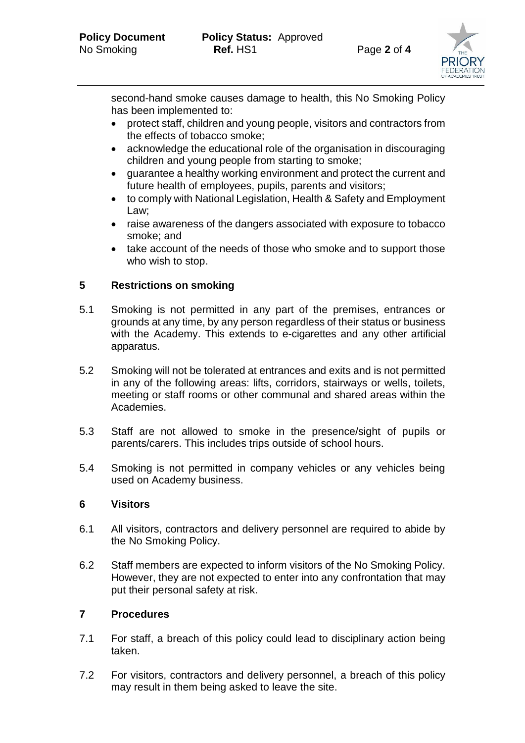

second-hand smoke causes damage to health, this No Smoking Policy has been implemented to:

- protect staff, children and young people, visitors and contractors from the effects of tobacco smoke;
- acknowledge the educational role of the organisation in discouraging children and young people from starting to smoke;
- guarantee a healthy working environment and protect the current and future health of employees, pupils, parents and visitors;
- to comply with National Legislation, Health & Safety and Employment Law;
- raise awareness of the dangers associated with exposure to tobacco smoke; and
- take account of the needs of those who smoke and to support those who wish to stop.

# **5 Restrictions on smoking**

- 5.1 Smoking is not permitted in any part of the premises, entrances or grounds at any time, by any person regardless of their status or business with the Academy. This extends to e-cigarettes and any other artificial apparatus.
- 5.2 Smoking will not be tolerated at entrances and exits and is not permitted in any of the following areas: lifts, corridors, stairways or wells, toilets, meeting or staff rooms or other communal and shared areas within the Academies.
- 5.3 Staff are not allowed to smoke in the presence/sight of pupils or parents/carers. This includes trips outside of school hours.
- 5.4 Smoking is not permitted in company vehicles or any vehicles being used on Academy business.

#### **6 Visitors**

- 6.1 All visitors, contractors and delivery personnel are required to abide by the No Smoking Policy.
- 6.2 Staff members are expected to inform visitors of the No Smoking Policy. However, they are not expected to enter into any confrontation that may put their personal safety at risk.

# **7 Procedures**

- 7.1 For staff, a breach of this policy could lead to disciplinary action being taken.
- 7.2 For visitors, contractors and delivery personnel, a breach of this policy may result in them being asked to leave the site.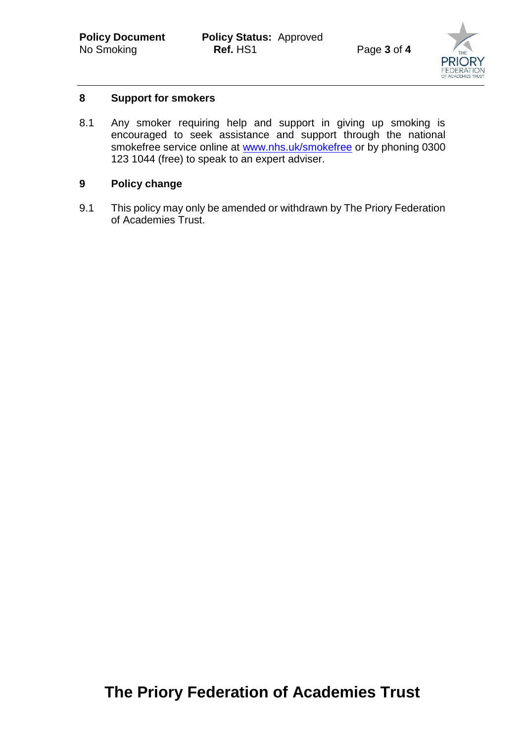

# **8 Support for smokers**

8.1 Any smoker requiring help and support in giving up smoking is encouraged to seek assistance and support through the national smokefree service online at [www.nhs.uk/smokefree](http://www.nhs.uk/smokefree) or by phoning 0300 123 1044 (free) to speak to an expert adviser.

# **9 Policy change**

9.1 This policy may only be amended or withdrawn by The Priory Federation of Academies Trust.